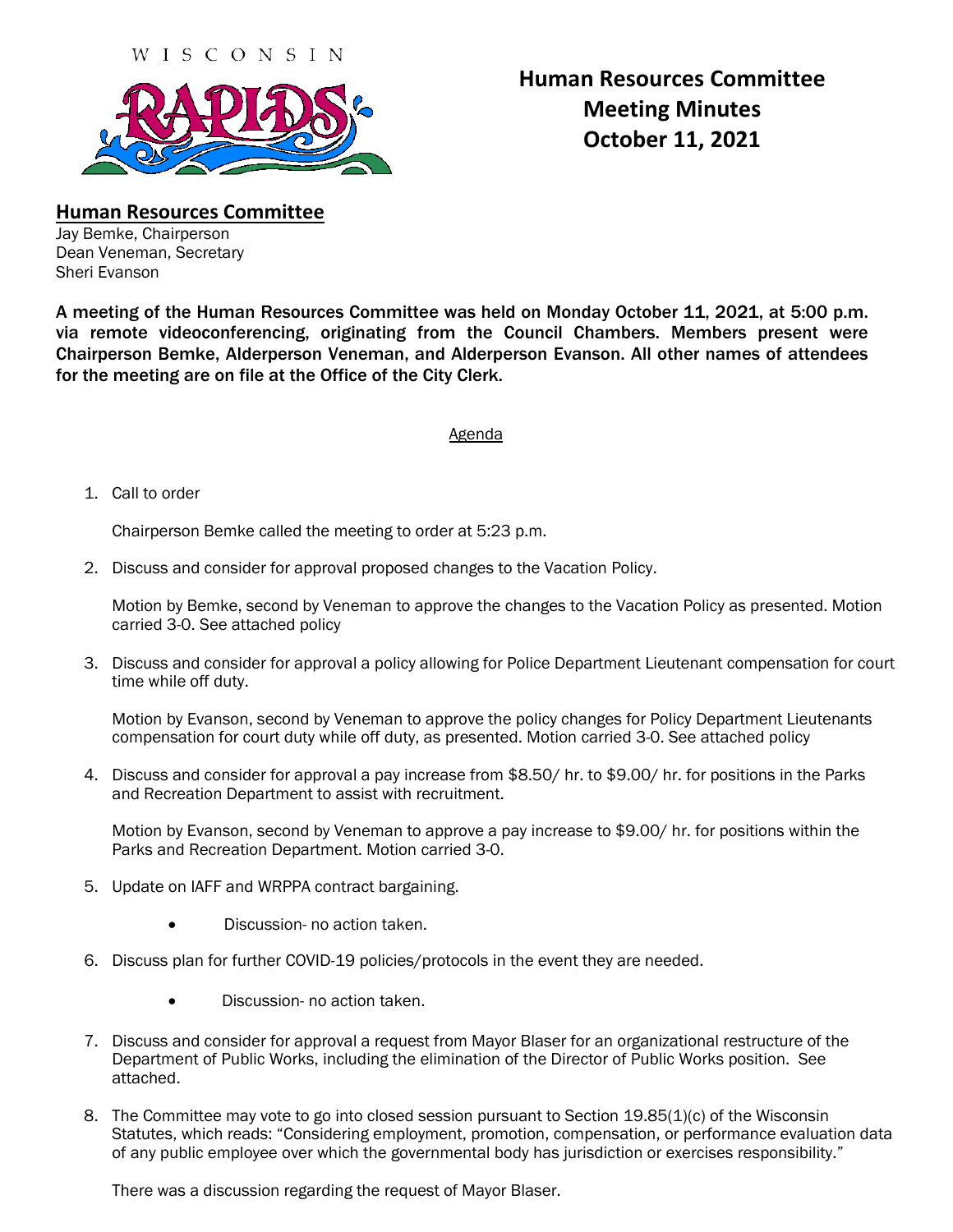

## **Human Resources Committee Meeting Minutes October 11, 2021**

**Human Resources Committee** Jay Bemke, Chairperson

Dean Veneman, Secretary Sheri Evanson

A meeting of the Human Resources Committee was held on Monday October 11, 2021, at 5:00 p.m. via remote videoconferencing, originating from the Council Chambers. Members present were Chairperson Bemke, Alderperson Veneman, and Alderperson Evanson. All other names of attendees for the meeting are on file at the Office of the City Clerk.

## Agenda

1. Call to order

Chairperson Bemke called the meeting to order at 5:23 p.m.

2. Discuss and consider for approval proposed changes to the Vacation Policy.

Motion by Bemke, second by Veneman to approve the changes to the Vacation Policy as presented. Motion carried 3-0. See attached policy

3. Discuss and consider for approval a policy allowing for Police Department Lieutenant compensation for court time while off duty.

Motion by Evanson, second by Veneman to approve the policy changes for Policy Department Lieutenants compensation for court duty while off duty, as presented. Motion carried 3-0. See attached policy

4. Discuss and consider for approval a pay increase from \$8.50/ hr. to \$9.00/ hr. for positions in the Parks and Recreation Department to assist with recruitment.

Motion by Evanson, second by Veneman to approve a pay increase to \$9.00/ hr. for positions within the Parks and Recreation Department. Motion carried 3-0.

- 5. Update on IAFF and WRPPA contract bargaining.
	- Discussion- no action taken.
- 6. Discuss plan for further COVID-19 policies/protocols in the event they are needed.
	- Discussion- no action taken.
- 7. Discuss and consider for approval a request from Mayor Blaser for an organizational restructure of the Department of Public Works, including the elimination of the Director of Public Works position. See attached.
- 8. The Committee may vote to go into closed session pursuant to Section 19.85(1)(c) of the Wisconsin Statutes, which reads: "Considering employment, promotion, compensation, or performance evaluation data of any public employee over which the governmental body has jurisdiction or exercises responsibility."

There was a discussion regarding the request of Mayor Blaser.